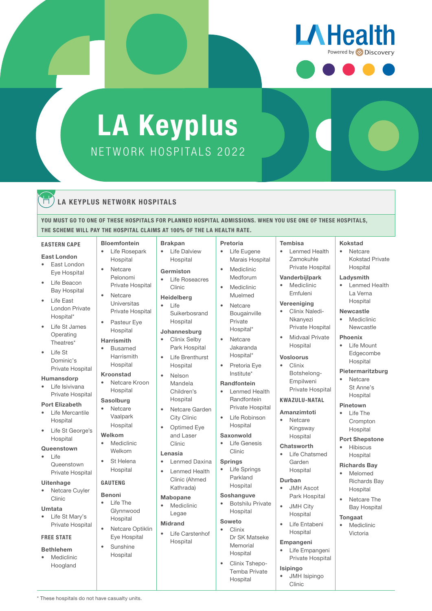

# NETWORK HOSPITALS 2022 LA Keyplus

**Brakpan** 

**Life Dalview** Hospital Germiston

**Life Roseacres** Clinic Heidelberg  $\overline{ }$  l ife

Suikerbosrand Hospital Johannesburg • Clinix Selby Park Hospital Life Brenthurst **Hospital** • Nelson Mandela Children's Hospital • Netcare Garden City Clinic • Optimed Eye and Laser Clinic Lenasia

## LA KEYPLUS NETWORK HOSPITALS

YOU MUST GO TO ONE OF THESE HOSPITALS FOR PLANNED HOSPITAL ADMISSIONS. WHEN YOU USE ONE OF THESE HOSPITALS, THE SCHEME WILL PAY THE HOSPITAL CLAIMS AT 100% OF THE LA HEALTH RATE*.*

### EASTERN CAPE

### East London

- **East London** Eye Hospital
- Life Beacon Bay Hospital
- Life East London Private Hospital\*
- Life St James **Operating** Theatres\*
- Life St Dominic's Private Hospital

### Humansdorp

Life Isivivana Private Hospital

## Port Elizabeth

- Life Mercantile Hospital
- Life St George's Hospital

## **Queenstown**

• Life **Queenstown** Private Hospital

### Uitenhage

Netcare Cuyler Clinic

### Umtata

Life St Mary's Private Hospital

## FREE STATE

### Bethlehem

**Mediclinic** Hoogland

\* These hospitals do not have casualty units.

• Life Rosepark Hospital • Netcare

Bloemfontein

- Pelonomi Private Hospital
- Netcare Universitas Private Hospital
- Pasteur Eye Hospital

## Harrismith

• Busamed Harrismith **Hospital** 

## Kroonstad

• Netcare Kroon Hospital

## Sasolburg

• Netcare Vaalpark Hospital

## Welkom

- Mediclinic Welkom
- St Helena Hospital

## GAUTENG

- Benoni **Life The** Glynnwood
- Hospital • Netcare Optiklin
- Eye Hospital • Sunshine Hospital
- Pretoria
	- Mediclinic Medforum
		- **Mediclinic** Muelmed
		- **Netcare** Bougainville Private Hospital\*
		- Netcare Hospital\*
		- Institute\*

## Randfontein

- Lenmed Health Randfontein Private Hospital
- Hospital

## Saxonwold

- 
- 
- 
- Lenmed Health Clinic (Ahmed Kathrada)
- Mabopane

• Lenmed Daxina

**Mediclinic** Legae

## Midrand

**Life Carstenhof Hospital** 

• Life Eugene

# Marais Hospital

- 
- 
- Jakaranda
- Pretoria Eye

- Life Robinson
- 

## • Life Genesis

- Clinic
- Springs
- Life Springs Parkland
	- Hospital Soshanguve

Hospital

## • Botshilu Private

#### Soweto • Clinix

- Dr SK Matseke Memorial
	- Hospital • Clinix Tshepo-Temba Private Hospital

## Tembisa

Kokstad **Netcare** Kokstad Private **Hospital** Ladysmith

• Lenmed Health La Verna Hospital Newcastle **Mediclinic** Newcastle Phoenix • Life Mount Edgecombe Hospital Pietermaritzburg **Netcare** St Anne's **Hospital** Pinetown **Life The** Crompton Hospital Port Shepstone • Hibiscus Hospital Richards Bay • Melomed Richards Bay Hospital Netcare The Bay Hospital

- Lenmed Health Zamokuhle Private Hospital
- Vanderbijlpark **Mediclinic**

## Emfuleni

- Vereeniging • Clinix Naledi-Nkanyezi Private Hospital
- Midvaal Private Hospital

## Vosloorus

• Clinix Botshelong-Empilweni Private Hospital

## KWAZULU-NATAL

Amanzimtoti **Netcare** Kingsway Hospital

## **Chatsworth**

• Life Chatsmed Garden **Hospital** 

## Durban

• JMH Ascot Park Hospital • JMH City

# Hospital

Tongaat • Mediclinic Victoria

• Life Entabeni **Hospital** 

## Empangeni

Life Empangeni Private Hospital

## Isipingo

• JMH Isipingo Clinic